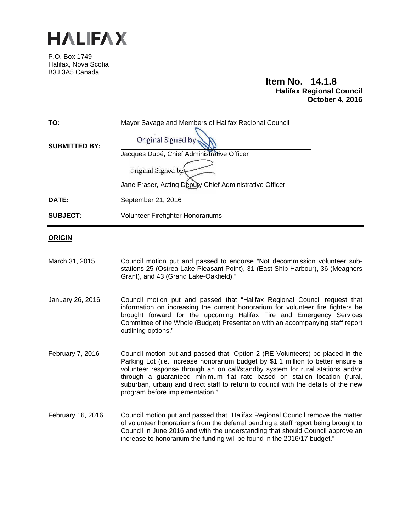

P.O. Box 1749 Halifax, Nova Scotia B3J 3A5 Canada

# **Item No. 14.1.8 Halifax Regional Council October 4, 2016**

| TO:<br><b>SUBMITTED BY:</b> | Mayor Savage and Members of Halifax Regional Council<br><b>Original Signed by</b> |
|-----------------------------|-----------------------------------------------------------------------------------|
|                             | Jacques Dubé, Chief Administrative Officer                                        |
|                             | Original Signed by                                                                |
|                             | Jane Fraser, Acting Deputy Chief Administrative Officer                           |
| DATE:                       | September 21, 2016                                                                |
| <b>SUBJECT:</b>             | <b>Volunteer Firefighter Honorariums</b>                                          |
|                             |                                                                                   |

# **ORIGIN**

- March 31, 2015 Council motion put and passed to endorse "Not decommission volunteer substations 25 (Ostrea Lake-Pleasant Point), 31 (East Ship Harbour), 36 (Meaghers Grant), and 43 (Grand Lake-Oakfield)."
- January 26, 2016 Council motion put and passed that "Halifax Regional Council request that information on increasing the current honorarium for volunteer fire fighters be brought forward for the upcoming Halifax Fire and Emergency Services Committee of the Whole (Budget) Presentation with an accompanying staff report outlining options."
- February 7, 2016 Council motion put and passed that "Option 2 (RE Volunteers) be placed in the Parking Lot (i.e. increase honorarium budget by \$1.1 million to better ensure a volunteer response through an on call/standby system for rural stations and/or through a guaranteed minimum flat rate based on station location (rural, suburban, urban) and direct staff to return to council with the details of the new program before implementation."
- February 16, 2016 Council motion put and passed that "Halifax Regional Council remove the matter of volunteer honorariums from the deferral pending a staff report being brought to Council in June 2016 and with the understanding that should Council approve an increase to honorarium the funding will be found in the 2016/17 budget."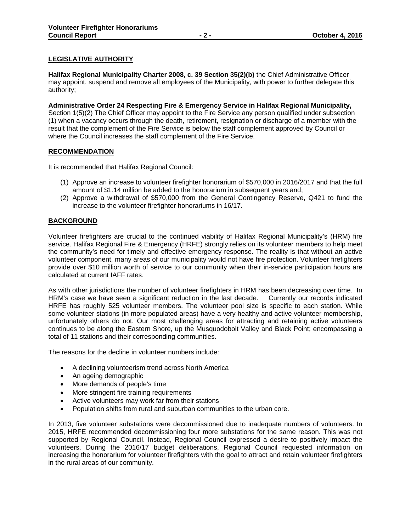# **LEGISLATIVE AUTHORITY**

**Halifax Regional Municipality Charter 2008, c. 39 Section 35(2)(b)** the Chief Administrative Officer may appoint, suspend and remove all employees of the Municipality, with power to further delegate this authority;

**Administrative Order 24 Respecting Fire & Emergency Service in Halifax Regional Municipality,** Section 1(5)(2) The Chief Officer may appoint to the Fire Service any person qualified under subsection (1) when a vacancy occurs through the death, retirement, resignation or discharge of a member with the result that the complement of the Fire Service is below the staff complement approved by Council or where the Council increases the staff complement of the Fire Service.

# **RECOMMENDATION**

It is recommended that Halifax Regional Council:

- (1) Approve an increase to volunteer firefighter honorarium of \$570,000 in 2016/2017 and that the full amount of \$1.14 million be added to the honorarium in subsequent years and;
- (2) Approve a withdrawal of \$570,000 from the General Contingency Reserve, Q421 to fund the increase to the volunteer firefighter honorariums in 16/17.

# **BACKGROUND**

Volunteer firefighters are crucial to the continued viability of Halifax Regional Municipality's (HRM) fire service. Halifax Regional Fire & Emergency (HRFE) strongly relies on its volunteer members to help meet the community's need for timely and effective emergency response. The reality is that without an active volunteer component, many areas of our municipality would not have fire protection. Volunteer firefighters provide over \$10 million worth of service to our community when their in-service participation hours are calculated at current IAFF rates.

As with other jurisdictions the number of volunteer firefighters in HRM has been decreasing over time. In HRM's case we have seen a significant reduction in the last decade. Currently our records indicated HRFE has roughly 525 volunteer members. The volunteer pool size is specific to each station. While some volunteer stations (in more populated areas) have a very healthy and active volunteer membership, unfortunately others do not. Our most challenging areas for attracting and retaining active volunteers continues to be along the Eastern Shore, up the Musquodoboit Valley and Black Point; encompassing a total of 11 stations and their corresponding communities.

The reasons for the decline in volunteer numbers include:

- A declining volunteerism trend across North America
- An ageing demographic
- More demands of people's time
- More stringent fire training requirements
- Active volunteers may work far from their stations
- Population shifts from rural and suburban communities to the urban core.

In 2013, five volunteer substations were decommissioned due to inadequate numbers of volunteers. In 2015, HRFE recommended decommissioning four more substations for the same reason. This was not supported by Regional Council. Instead, Regional Council expressed a desire to positively impact the volunteers. During the 2016/17 budget deliberations, Regional Council requested information on increasing the honorarium for volunteer firefighters with the goal to attract and retain volunteer firefighters in the rural areas of our community.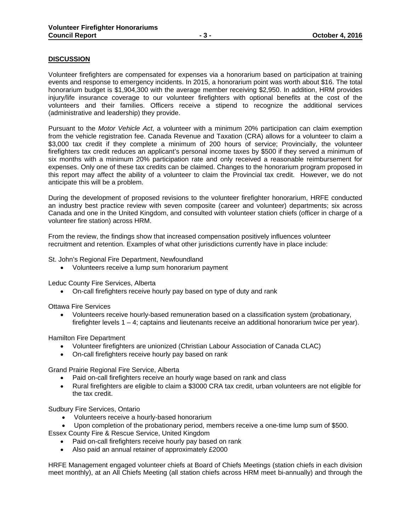# **DISCUSSION**

Volunteer firefighters are compensated for expenses via a honorarium based on participation at training events and response to emergency incidents. In 2015, a honorarium point was worth about \$16. The total honorarium budget is \$1,904,300 with the average member receiving \$2,950. In addition, HRM provides injury/life insurance coverage to our volunteer firefighters with optional benefits at the cost of the volunteers and their families. Officers receive a stipend to recognize the additional services (administrative and leadership) they provide.

Pursuant to the *Motor Vehicle Act*, a volunteer with a minimum 20% participation can claim exemption from the vehicle registration fee. Canada Revenue and Taxation (CRA) allows for a volunteer to claim a \$3,000 tax credit if they complete a minimum of 200 hours of service; Provincially, the volunteer firefighters tax credit reduces an applicant's personal income taxes by \$500 if they served a minimum of six months with a minimum 20% participation rate and only received a reasonable reimbursement for expenses. Only one of these tax credits can be claimed. Changes to the honorarium program proposed in this report may affect the ability of a volunteer to claim the Provincial tax credit. However, we do not anticipate this will be a problem.

During the development of proposed revisions to the volunteer firefighter honorarium, HRFE conducted an industry best practice review with seven composite (career and volunteer) departments; six across Canada and one in the United Kingdom, and consulted with volunteer station chiefs (officer in charge of a volunteer fire station) across HRM.

From the review, the findings show that increased compensation positively influences volunteer recruitment and retention. Examples of what other jurisdictions currently have in place include:

St. John's Regional Fire Department, Newfoundland

Volunteers receive a lump sum honorarium payment

Leduc County Fire Services, Alberta

On-call firefighters receive hourly pay based on type of duty and rank

Ottawa Fire Services

 Volunteers receive hourly-based remuneration based on a classification system (probationary, firefighter levels  $1 - 4$ ; captains and lieutenants receive an additional honorarium twice per year).

Hamilton Fire Department

- Volunteer firefighters are unionized (Christian Labour Association of Canada CLAC)
- On-call firefighters receive hourly pay based on rank

Grand Prairie Regional Fire Service, Alberta

- Paid on-call firefighters receive an hourly wage based on rank and class
- Rural firefighters are eligible to claim a \$3000 CRA tax credit, urban volunteers are not eligible for the tax credit.

Sudbury Fire Services, Ontario

- Volunteers receive a hourly-based honorarium
- Upon completion of the probationary period, members receive a one-time lump sum of \$500.

Essex County Fire & Rescue Service, United Kingdom

- Paid on-call firefighters receive hourly pay based on rank
- Also paid an annual retainer of approximately £2000

HRFE Management engaged volunteer chiefs at Board of Chiefs Meetings (station chiefs in each division meet monthly), at an All Chiefs Meeting (all station chiefs across HRM meet bi-annually) and through the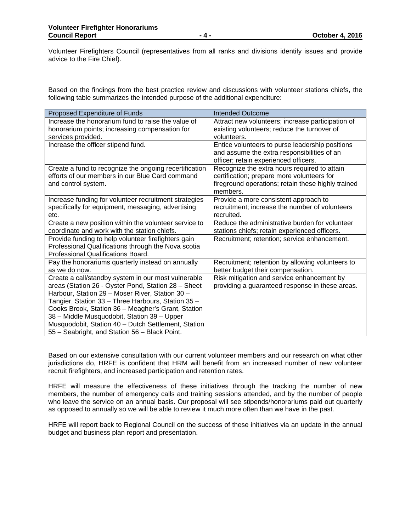Volunteer Firefighters Council (representatives from all ranks and divisions identify issues and provide advice to the Fire Chief).

Based on the findings from the best practice review and discussions with volunteer stations chiefs, the following table summarizes the intended purpose of the additional expenditure:

| Proposed Expenditure of Funds                          | Intended Outcome                                   |
|--------------------------------------------------------|----------------------------------------------------|
| Increase the honorarium fund to raise the value of     | Attract new volunteers; increase participation of  |
| honorarium points; increasing compensation for         | existing volunteers; reduce the turnover of        |
| services provided.                                     | volunteers.                                        |
| Increase the officer stipend fund.                     | Entice volunteers to purse leadership positions    |
|                                                        | and assume the extra responsibilities of an        |
|                                                        | officer; retain experienced officers.              |
| Create a fund to recognize the ongoing recertification | Recognize the extra hours required to attain       |
| efforts of our members in our Blue Card command        | certification; prepare more volunteers for         |
| and control system.                                    | fireground operations; retain these highly trained |
|                                                        | members.                                           |
| Increase funding for volunteer recruitment strategies  | Provide a more consistent approach to              |
| specifically for equipment, messaging, advertising     | recruitment; increase the number of volunteers     |
| etc.                                                   | recruited.                                         |
| Create a new position within the volunteer service to  | Reduce the administrative burden for volunteer     |
| coordinate and work with the station chiefs.           | stations chiefs; retain experienced officers.      |
| Provide funding to help volunteer firefighters gain    | Recruitment; retention; service enhancement.       |
| Professional Qualifications through the Nova scotia    |                                                    |
| Professional Qualifications Board.                     |                                                    |
| Pay the honorariums quarterly instead on annually      | Recruitment; retention by allowing volunteers to   |
| as we do now.                                          | better budget their compensation.                  |
| Create a call/standby system in our most vulnerable    | Risk mitigation and service enhancement by         |
| areas (Station 26 - Oyster Pond, Station 28 - Sheet    | providing a guaranteed response in these areas.    |
| Harbour, Station 29 - Moser River, Station 30 -        |                                                    |
| Tangier, Station 33 - Three Harbours, Station 35 -     |                                                    |
| Cooks Brook, Station 36 - Meagher's Grant, Station     |                                                    |
| 38 - Middle Musquodobit, Station 39 - Upper            |                                                    |
| Musquodobit, Station 40 - Dutch Settlement, Station    |                                                    |
| 55 - Seabright, and Station 56 - Black Point.          |                                                    |

Based on our extensive consultation with our current volunteer members and our research on what other jurisdictions do, HRFE is confident that HRM will benefit from an increased number of new volunteer recruit firefighters, and increased participation and retention rates.

HRFE will measure the effectiveness of these initiatives through the tracking the number of new members, the number of emergency calls and training sessions attended, and by the number of people who leave the service on an annual basis. Our proposal will see stipends/honorariums paid out quarterly as opposed to annually so we will be able to review it much more often than we have in the past.

HRFE will report back to Regional Council on the success of these initiatives via an update in the annual budget and business plan report and presentation.